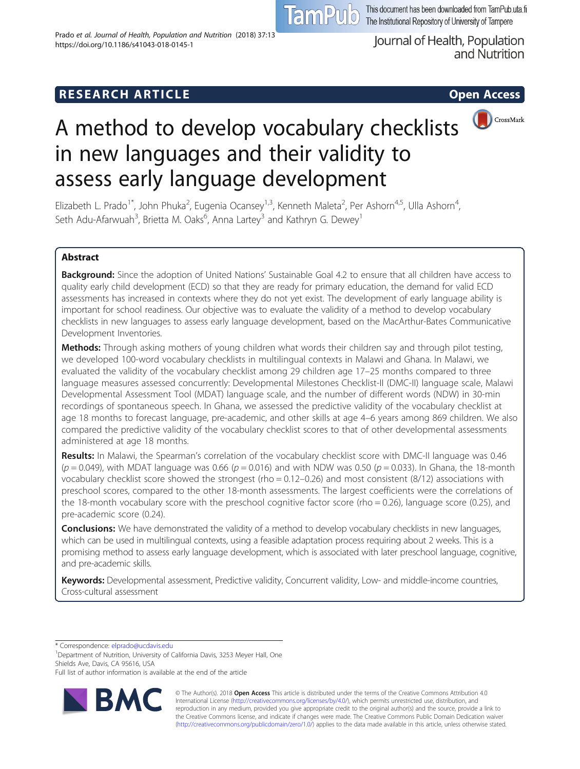Journal of Health, Population and Nutrition

# **RESEARCH ARTICLE Example 2014 CONSIDERING CONSIDERING CONSIDERING CONSIDERING CONSIDERING CONSIDERING CONSIDERING CONSIDERING CONSIDERING CONSIDERING CONSIDERING CONSIDERING CONSIDERING CONSIDERING CONSIDERING CONSIDE**





# A method to develop vocabulary checklists in new languages and their validity to assess early language development

Elizabeth L. Prado<sup>1\*</sup>, John Phuka<sup>2</sup>, Eugenia Ocansey<sup>1,3</sup>, Kenneth Maleta<sup>2</sup>, Per Ashorn<sup>4,5</sup>, Ulla Ashorn<sup>4</sup> , Seth Adu-Afarwuah<sup>3</sup>, Brietta M. Oaks<sup>6</sup>, Anna Lartey<sup>3</sup> and Kathryn G. Dewey<sup>1</sup>

# Abstract

Background: Since the adoption of United Nations' Sustainable Goal 4.2 to ensure that all children have access to quality early child development (ECD) so that they are ready for primary education, the demand for valid ECD assessments has increased in contexts where they do not yet exist. The development of early language ability is important for school readiness. Our objective was to evaluate the validity of a method to develop vocabulary checklists in new languages to assess early language development, based on the MacArthur-Bates Communicative Development Inventories.

**Methods:** Through asking mothers of young children what words their children say and through pilot testing, we developed 100-word vocabulary checklists in multilingual contexts in Malawi and Ghana. In Malawi, we evaluated the validity of the vocabulary checklist among 29 children age 17–25 months compared to three language measures assessed concurrently: Developmental Milestones Checklist-II (DMC-II) language scale, Malawi Developmental Assessment Tool (MDAT) language scale, and the number of different words (NDW) in 30-min recordings of spontaneous speech. In Ghana, we assessed the predictive validity of the vocabulary checklist at age 18 months to forecast language, pre-academic, and other skills at age 4–6 years among 869 children. We also compared the predictive validity of the vocabulary checklist scores to that of other developmental assessments administered at age 18 months.

Results: In Malawi, the Spearman's correlation of the vocabulary checklist score with DMC-II language was 0.46  $(p = 0.049)$ , with MDAT language was 0.66  $(p = 0.016)$  and with NDW was 0.50  $(p = 0.033)$ . In Ghana, the 18-month vocabulary checklist score showed the strongest (rho = 0.12–0.26) and most consistent (8/12) associations with preschool scores, compared to the other 18-month assessments. The largest coefficients were the correlations of the 18-month vocabulary score with the preschool cognitive factor score (rho = 0.26), language score (0.25), and pre-academic score (0.24).

**Conclusions:** We have demonstrated the validity of a method to develop vocabulary checklists in new languages, which can be used in multilingual contexts, using a feasible adaptation process requiring about 2 weeks. This is a promising method to assess early language development, which is associated with later preschool language, cognitive, and pre-academic skills.

Keywords: Developmental assessment, Predictive validity, Concurrent validity, Low- and middle-income countries, Cross-cultural assessment

\* Correspondence: [elprado@ucdavis.edu](mailto:elprado@ucdavis.edu) <sup>1</sup>

<sup>1</sup>Department of Nutrition, University of California Davis, 3253 Meyer Hall, One Shields Ave, Davis, CA 95616, USA

Full list of author information is available at the end of the article



© The Author(s). 2018 Open Access This article is distributed under the terms of the Creative Commons Attribution 4.0 International License [\(http://creativecommons.org/licenses/by/4.0/](http://creativecommons.org/licenses/by/4.0/)), which permits unrestricted use, distribution, and reproduction in any medium, provided you give appropriate credit to the original author(s) and the source, provide a link to the Creative Commons license, and indicate if changes were made. The Creative Commons Public Domain Dedication waiver [\(http://creativecommons.org/publicdomain/zero/1.0/](http://creativecommons.org/publicdomain/zero/1.0/)) applies to the data made available in this article, unless otherwise stated.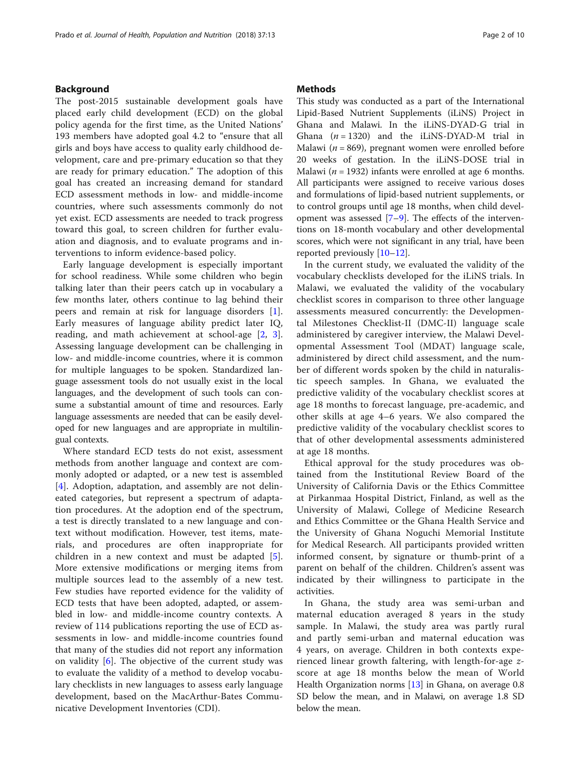# Background

The post-2015 sustainable development goals have placed early child development (ECD) on the global policy agenda for the first time, as the United Nations' 193 members have adopted goal 4.2 to "ensure that all girls and boys have access to quality early childhood development, care and pre-primary education so that they are ready for primary education." The adoption of this goal has created an increasing demand for standard ECD assessment methods in low- and middle-income countries, where such assessments commonly do not yet exist. ECD assessments are needed to track progress toward this goal, to screen children for further evaluation and diagnosis, and to evaluate programs and interventions to inform evidence-based policy.

Early language development is especially important for school readiness. While some children who begin talking later than their peers catch up in vocabulary a few months later, others continue to lag behind their peers and remain at risk for language disorders [\[1](#page-8-0)]. Early measures of language ability predict later IQ, reading, and math achievement at school-age [\[2](#page-8-0), [3](#page-8-0)]. Assessing language development can be challenging in low- and middle-income countries, where it is common for multiple languages to be spoken. Standardized language assessment tools do not usually exist in the local languages, and the development of such tools can consume a substantial amount of time and resources. Early language assessments are needed that can be easily developed for new languages and are appropriate in multilingual contexts.

Where standard ECD tests do not exist, assessment methods from another language and context are commonly adopted or adapted, or a new test is assembled [[4\]](#page-8-0). Adoption, adaptation, and assembly are not delineated categories, but represent a spectrum of adaptation procedures. At the adoption end of the spectrum, a test is directly translated to a new language and context without modification. However, test items, materials, and procedures are often inappropriate for children in a new context and must be adapted [\[5](#page-8-0)]. More extensive modifications or merging items from multiple sources lead to the assembly of a new test. Few studies have reported evidence for the validity of ECD tests that have been adopted, adapted, or assembled in low- and middle-income country contexts. A review of 114 publications reporting the use of ECD assessments in low- and middle-income countries found that many of the studies did not report any information on validity [[6\]](#page-9-0). The objective of the current study was to evaluate the validity of a method to develop vocabulary checklists in new languages to assess early language development, based on the MacArthur-Bates Communicative Development Inventories (CDI).

# **Methods**

This study was conducted as a part of the International Lipid-Based Nutrient Supplements (iLiNS) Project in Ghana and Malawi. In the iLiNS-DYAD-G trial in Ghana  $(n = 1320)$  and the iLiNS-DYAD-M trial in Malawi ( $n = 869$ ), pregnant women were enrolled before 20 weeks of gestation. In the iLiNS-DOSE trial in Malawi ( $n = 1932$ ) infants were enrolled at age 6 months. All participants were assigned to receive various doses and formulations of lipid-based nutrient supplements, or to control groups until age 18 months, when child development was assessed [[7](#page-9-0)–[9\]](#page-9-0). The effects of the interventions on 18-month vocabulary and other developmental scores, which were not significant in any trial, have been reported previously [\[10](#page-9-0)–[12\]](#page-9-0).

In the current study, we evaluated the validity of the vocabulary checklists developed for the iLiNS trials. In Malawi, we evaluated the validity of the vocabulary checklist scores in comparison to three other language assessments measured concurrently: the Developmental Milestones Checklist-II (DMC-II) language scale administered by caregiver interview, the Malawi Developmental Assessment Tool (MDAT) language scale, administered by direct child assessment, and the number of different words spoken by the child in naturalistic speech samples. In Ghana, we evaluated the predictive validity of the vocabulary checklist scores at age 18 months to forecast language, pre-academic, and other skills at age 4–6 years. We also compared the predictive validity of the vocabulary checklist scores to that of other developmental assessments administered at age 18 months.

Ethical approval for the study procedures was obtained from the Institutional Review Board of the University of California Davis or the Ethics Committee at Pirkanmaa Hospital District, Finland, as well as the University of Malawi, College of Medicine Research and Ethics Committee or the Ghana Health Service and the University of Ghana Noguchi Memorial Institute for Medical Research. All participants provided written informed consent, by signature or thumb-print of a parent on behalf of the children. Children's assent was indicated by their willingness to participate in the activities.

In Ghana, the study area was semi-urban and maternal education averaged 8 years in the study sample. In Malawi, the study area was partly rural and partly semi-urban and maternal education was 4 years, on average. Children in both contexts experienced linear growth faltering, with length-for-age zscore at age 18 months below the mean of World Health Organization norms [\[13\]](#page-9-0) in Ghana, on average 0.8 SD below the mean, and in Malawi, on average 1.8 SD below the mean.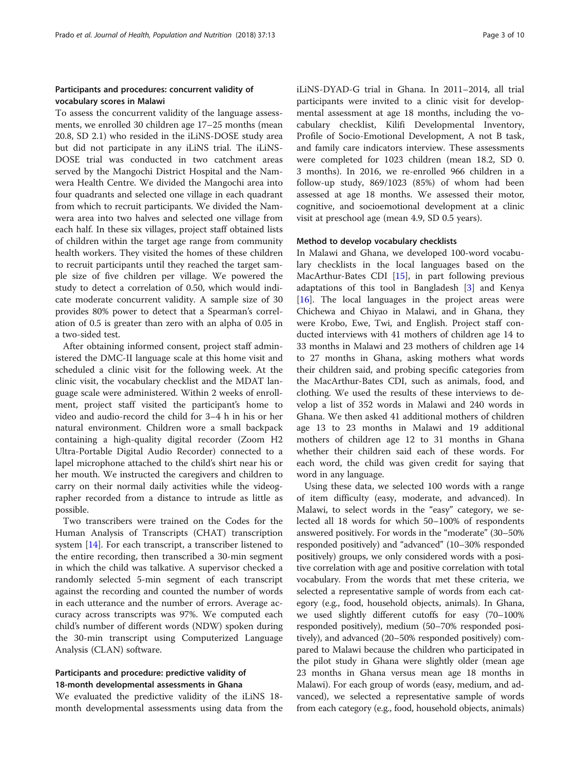# Participants and procedures: concurrent validity of vocabulary scores in Malawi

To assess the concurrent validity of the language assessments, we enrolled 30 children age 17–25 months (mean 20.8, SD 2.1) who resided in the iLiNS-DOSE study area but did not participate in any iLiNS trial. The iLiNS-DOSE trial was conducted in two catchment areas served by the Mangochi District Hospital and the Namwera Health Centre. We divided the Mangochi area into four quadrants and selected one village in each quadrant from which to recruit participants. We divided the Namwera area into two halves and selected one village from each half. In these six villages, project staff obtained lists of children within the target age range from community health workers. They visited the homes of these children to recruit participants until they reached the target sample size of five children per village. We powered the study to detect a correlation of 0.50, which would indicate moderate concurrent validity. A sample size of 30 provides 80% power to detect that a Spearman's correlation of 0.5 is greater than zero with an alpha of 0.05 in a two-sided test.

After obtaining informed consent, project staff administered the DMC-II language scale at this home visit and scheduled a clinic visit for the following week. At the clinic visit, the vocabulary checklist and the MDAT language scale were administered. Within 2 weeks of enrollment, project staff visited the participant's home to video and audio-record the child for 3–4 h in his or her natural environment. Children wore a small backpack containing a high-quality digital recorder (Zoom H2 Ultra-Portable Digital Audio Recorder) connected to a lapel microphone attached to the child's shirt near his or her mouth. We instructed the caregivers and children to carry on their normal daily activities while the videographer recorded from a distance to intrude as little as possible.

Two transcribers were trained on the Codes for the Human Analysis of Transcripts (CHAT) transcription system [[14\]](#page-9-0). For each transcript, a transcriber listened to the entire recording, then transcribed a 30-min segment in which the child was talkative. A supervisor checked a randomly selected 5-min segment of each transcript against the recording and counted the number of words in each utterance and the number of errors. Average accuracy across transcripts was 97%. We computed each child's number of different words (NDW) spoken during the 30-min transcript using Computerized Language Analysis (CLAN) software.

# Participants and procedure: predictive validity of 18-month developmental assessments in Ghana

We evaluated the predictive validity of the iLiNS 18 month developmental assessments using data from the iLiNS-DYAD-G trial in Ghana. In 2011–2014, all trial participants were invited to a clinic visit for developmental assessment at age 18 months, including the vocabulary checklist, Kilifi Developmental Inventory, Profile of Socio-Emotional Development, A not B task, and family care indicators interview. These assessments were completed for 1023 children (mean 18.2, SD 0. 3 months). In 2016, we re-enrolled 966 children in a follow-up study, 869/1023 (85%) of whom had been assessed at age 18 months. We assessed their motor, cognitive, and socioemotional development at a clinic visit at preschool age (mean 4.9, SD 0.5 years).

# Method to develop vocabulary checklists

In Malawi and Ghana, we developed 100-word vocabulary checklists in the local languages based on the MacArthur-Bates CDI [\[15](#page-9-0)], in part following previous adaptations of this tool in Bangladesh [[3\]](#page-8-0) and Kenya [[16\]](#page-9-0). The local languages in the project areas were Chichewa and Chiyao in Malawi, and in Ghana, they were Krobo, Ewe, Twi, and English. Project staff conducted interviews with 41 mothers of children age 14 to 33 months in Malawi and 23 mothers of children age 14 to 27 months in Ghana, asking mothers what words their children said, and probing specific categories from the MacArthur-Bates CDI, such as animals, food, and clothing. We used the results of these interviews to develop a list of 352 words in Malawi and 240 words in Ghana. We then asked 41 additional mothers of children age 13 to 23 months in Malawi and 19 additional mothers of children age 12 to 31 months in Ghana whether their children said each of these words. For each word, the child was given credit for saying that word in any language.

Using these data, we selected 100 words with a range of item difficulty (easy, moderate, and advanced). In Malawi, to select words in the "easy" category, we selected all 18 words for which 50–100% of respondents answered positively. For words in the "moderate" (30–50% responded positively) and "advanced" (10–30% responded positively) groups, we only considered words with a positive correlation with age and positive correlation with total vocabulary. From the words that met these criteria, we selected a representative sample of words from each category (e.g., food, household objects, animals). In Ghana, we used slightly different cutoffs for easy (70–100% responded positively), medium (50–70% responded positively), and advanced (20–50% responded positively) compared to Malawi because the children who participated in the pilot study in Ghana were slightly older (mean age 23 months in Ghana versus mean age 18 months in Malawi). For each group of words (easy, medium, and advanced), we selected a representative sample of words from each category (e.g., food, household objects, animals)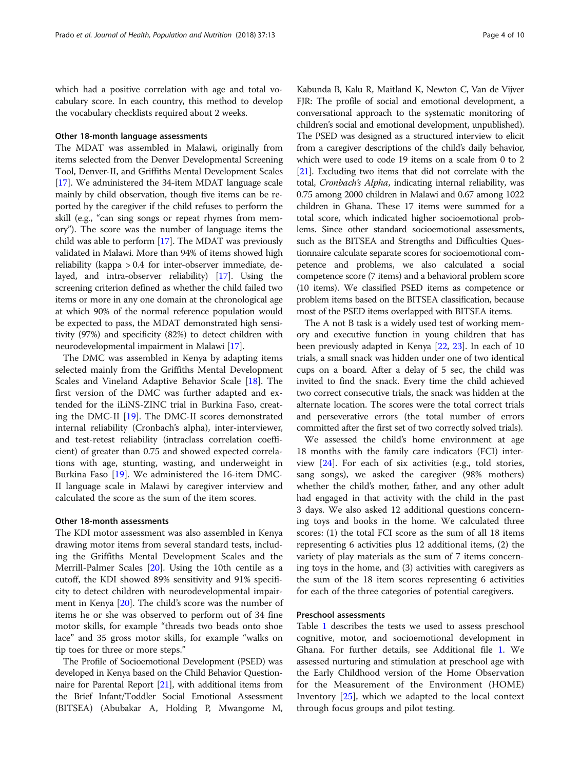which had a positive correlation with age and total vocabulary score. In each country, this method to develop the vocabulary checklists required about 2 weeks.

# Other 18-month language assessments

The MDAT was assembled in Malawi, originally from items selected from the Denver Developmental Screening Tool, Denver-II, and Griffiths Mental Development Scales [[17](#page-9-0)]. We administered the 34-item MDAT language scale mainly by child observation, though five items can be reported by the caregiver if the child refuses to perform the skill (e.g., "can sing songs or repeat rhymes from memory"). The score was the number of language items the child was able to perform [[17](#page-9-0)]. The MDAT was previously validated in Malawi. More than 94% of items showed high reliability (kappa > 0.4 for inter-observer immediate, delayed, and intra-observer reliability) [[17](#page-9-0)]. Using the screening criterion defined as whether the child failed two items or more in any one domain at the chronological age at which 90% of the normal reference population would be expected to pass, the MDAT demonstrated high sensitivity (97%) and specificity (82%) to detect children with neurodevelopmental impairment in Malawi [\[17\]](#page-9-0).

The DMC was assembled in Kenya by adapting items selected mainly from the Griffiths Mental Development Scales and Vineland Adaptive Behavior Scale [[18\]](#page-9-0). The first version of the DMC was further adapted and extended for the iLiNS-ZINC trial in Burkina Faso, creating the DMC-II [[19\]](#page-9-0). The DMC-II scores demonstrated internal reliability (Cronbach's alpha), inter-interviewer, and test-retest reliability (intraclass correlation coefficient) of greater than 0.75 and showed expected correlations with age, stunting, wasting, and underweight in Burkina Faso [[19\]](#page-9-0). We administered the 16-item DMC-II language scale in Malawi by caregiver interview and calculated the score as the sum of the item scores.

# Other 18-month assessments

The KDI motor assessment was also assembled in Kenya drawing motor items from several standard tests, including the Griffiths Mental Development Scales and the Merrill-Palmer Scales [\[20](#page-9-0)]. Using the 10th centile as a cutoff, the KDI showed 89% sensitivity and 91% specificity to detect children with neurodevelopmental impairment in Kenya [\[20](#page-9-0)]. The child's score was the number of items he or she was observed to perform out of 34 fine motor skills, for example "threads two beads onto shoe lace" and 35 gross motor skills, for example "walks on tip toes for three or more steps."

The Profile of Socioemotional Development (PSED) was developed in Kenya based on the Child Behavior Questionnaire for Parental Report [\[21\]](#page-9-0), with additional items from the Brief Infant/Toddler Social Emotional Assessment (BITSEA) (Abubakar A, Holding P, Mwangome M, Kabunda B, Kalu R, Maitland K, Newton C, Van de Vijver

FJR: The profile of social and emotional development, a conversational approach to the systematic monitoring of children's social and emotional development, unpublished). The PSED was designed as a structured interview to elicit from a caregiver descriptions of the child's daily behavior, which were used to code 19 items on a scale from 0 to 2 [[21](#page-9-0)]. Excluding two items that did not correlate with the total, Cronbach's Alpha, indicating internal reliability, was 0.75 among 2000 children in Malawi and 0.67 among 1022 children in Ghana. These 17 items were summed for a total score, which indicated higher socioemotional problems. Since other standard socioemotional assessments, such as the BITSEA and Strengths and Difficulties Questionnaire calculate separate scores for socioemotional competence and problems, we also calculated a social competence score (7 items) and a behavioral problem score (10 items). We classified PSED items as competence or problem items based on the BITSEA classification, because most of the PSED items overlapped with BITSEA items.

The A not B task is a widely used test of working memory and executive function in young children that has been previously adapted in Kenya [[22](#page-9-0), [23\]](#page-9-0). In each of 10 trials, a small snack was hidden under one of two identical cups on a board. After a delay of 5 sec, the child was invited to find the snack. Every time the child achieved two correct consecutive trials, the snack was hidden at the alternate location. The scores were the total correct trials and perseverative errors (the total number of errors committed after the first set of two correctly solved trials).

We assessed the child's home environment at age 18 months with the family care indicators (FCI) interview [\[24](#page-9-0)]. For each of six activities (e.g., told stories, sang songs), we asked the caregiver (98% mothers) whether the child's mother, father, and any other adult had engaged in that activity with the child in the past 3 days. We also asked 12 additional questions concerning toys and books in the home. We calculated three scores: (1) the total FCI score as the sum of all 18 items representing 6 activities plus 12 additional items, (2) the variety of play materials as the sum of 7 items concerning toys in the home, and (3) activities with caregivers as the sum of the 18 item scores representing 6 activities for each of the three categories of potential caregivers.

# Preschool assessments

Table [1](#page-4-0) describes the tests we used to assess preschool cognitive, motor, and socioemotional development in Ghana. For further details, see Additional file [1.](#page-8-0) We assessed nurturing and stimulation at preschool age with the Early Childhood version of the Home Observation for the Measurement of the Environment (HOME) Inventory [\[25](#page-9-0)], which we adapted to the local context through focus groups and pilot testing.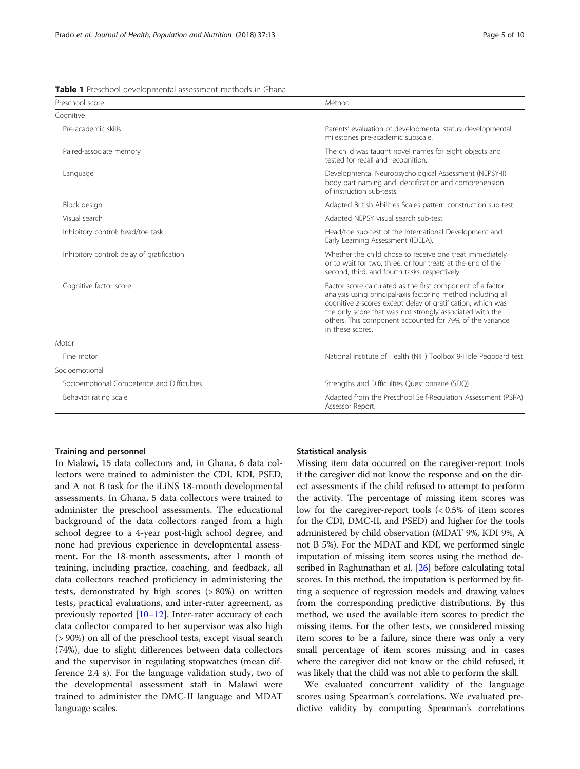<span id="page-4-0"></span>Table 1 Preschool developmental assessment methods in Ghana

| Preschool score                            | Method                                                                                                                                                                                                                                                                                                                                |
|--------------------------------------------|---------------------------------------------------------------------------------------------------------------------------------------------------------------------------------------------------------------------------------------------------------------------------------------------------------------------------------------|
| Cognitive                                  |                                                                                                                                                                                                                                                                                                                                       |
| Pre-academic skills                        | Parents' evaluation of developmental status: developmental<br>milestones pre-academic subscale.                                                                                                                                                                                                                                       |
| Paired-associate memory                    | The child was taught novel names for eight objects and<br>tested for recall and recognition.                                                                                                                                                                                                                                          |
| Language                                   | Developmental Neuropsychological Assessment (NEPSY-II)<br>body part naming and identification and comprehension<br>of instruction sub-tests.                                                                                                                                                                                          |
| Block design                               | Adapted British Abilities Scales pattern construction sub-test.                                                                                                                                                                                                                                                                       |
| Visual search                              | Adapted NEPSY visual search sub-test.                                                                                                                                                                                                                                                                                                 |
| Inhibitory control: head/toe task          | Head/toe sub-test of the International Development and<br>Early Learning Assessment (IDELA).                                                                                                                                                                                                                                          |
| Inhibitory control: delay of gratification | Whether the child chose to receive one treat immediately<br>or to wait for two, three, or four treats at the end of the<br>second, third, and fourth tasks, respectively.                                                                                                                                                             |
| Cognitive factor score                     | Factor score calculated as the first component of a factor<br>analysis using principal-axis factoring method including all<br>cognitive z-scores except delay of gratification, which was<br>the only score that was not strongly associated with the<br>others. This component accounted for 79% of the variance<br>in these scores. |
| Motor                                      |                                                                                                                                                                                                                                                                                                                                       |
| Fine motor                                 | National Institute of Health (NIH) Toolbox 9-Hole Pegboard test.                                                                                                                                                                                                                                                                      |
| Socioemotional                             |                                                                                                                                                                                                                                                                                                                                       |
| Socioemotional Competence and Difficulties | Strengths and Difficulties Questionnaire (SDQ)                                                                                                                                                                                                                                                                                        |
| Behavior rating scale                      | Adapted from the Preschool Self-Regulation Assessment (PSRA)<br>Assessor Report.                                                                                                                                                                                                                                                      |

# Training and personnel

In Malawi, 15 data collectors and, in Ghana, 6 data collectors were trained to administer the CDI, KDI, PSED, and A not B task for the iLiNS 18-month developmental assessments. In Ghana, 5 data collectors were trained to administer the preschool assessments. The educational background of the data collectors ranged from a high school degree to a 4-year post-high school degree, and none had previous experience in developmental assessment. For the 18-month assessments, after 1 month of training, including practice, coaching, and feedback, all data collectors reached proficiency in administering the tests, demonstrated by high scores (> 80%) on written tests, practical evaluations, and inter-rater agreement, as previously reported [[10](#page-9-0)–[12](#page-9-0)]. Inter-rater accuracy of each data collector compared to her supervisor was also high (> 90%) on all of the preschool tests, except visual search (74%), due to slight differences between data collectors and the supervisor in regulating stopwatches (mean difference 2.4 s). For the language validation study, two of the developmental assessment staff in Malawi were trained to administer the DMC-II language and MDAT language scales.

## Statistical analysis

Missing item data occurred on the caregiver-report tools if the caregiver did not know the response and on the direct assessments if the child refused to attempt to perform the activity. The percentage of missing item scores was low for the caregiver-report tools (< 0.5% of item scores for the CDI, DMC-II, and PSED) and higher for the tools administered by child observation (MDAT 9%, KDI 9%, A not B 5%). For the MDAT and KDI, we performed single imputation of missing item scores using the method described in Raghunathan et al. [[26\]](#page-9-0) before calculating total scores. In this method, the imputation is performed by fitting a sequence of regression models and drawing values from the corresponding predictive distributions. By this method, we used the available item scores to predict the missing items. For the other tests, we considered missing item scores to be a failure, since there was only a very small percentage of item scores missing and in cases where the caregiver did not know or the child refused, it was likely that the child was not able to perform the skill.

We evaluated concurrent validity of the language scores using Spearman's correlations. We evaluated predictive validity by computing Spearman's correlations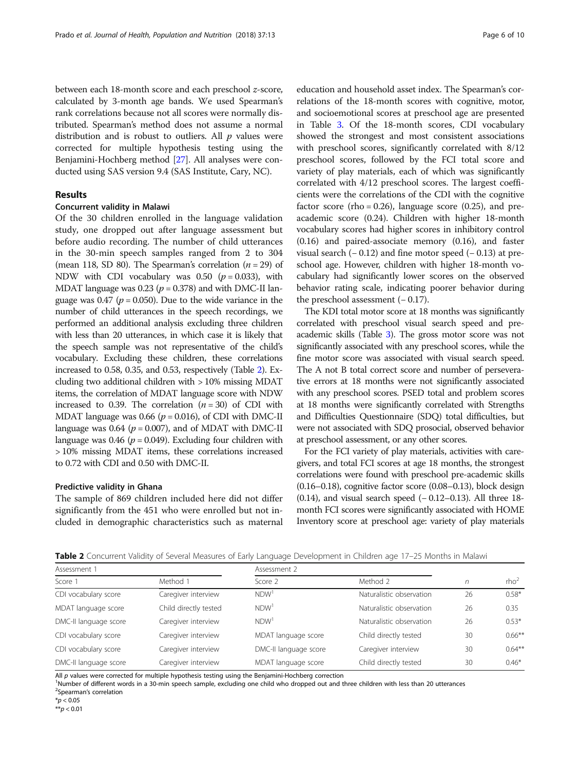between each 18-month score and each preschool z-score, calculated by 3-month age bands. We used Spearman's rank correlations because not all scores were normally distributed. Spearman's method does not assume a normal distribution and is robust to outliers. All  $p$  values were corrected for multiple hypothesis testing using the Benjamini-Hochberg method [[27](#page-9-0)]. All analyses were conducted using SAS version 9.4 (SAS Institute, Cary, NC).

# Results

# Concurrent validity in Malawi

Of the 30 children enrolled in the language validation study, one dropped out after language assessment but before audio recording. The number of child utterances in the 30-min speech samples ranged from 2 to 304 (mean 118, SD 80). The Spearman's correlation  $(n = 29)$  of NDW with CDI vocabulary was 0.50 ( $p = 0.033$ ), with MDAT language was 0.23 ( $p = 0.378$ ) and with DMC-II language was 0.47 ( $p = 0.050$ ). Due to the wide variance in the number of child utterances in the speech recordings, we performed an additional analysis excluding three children with less than 20 utterances, in which case it is likely that the speech sample was not representative of the child's vocabulary. Excluding these children, these correlations increased to 0.58, 0.35, and 0.53, respectively (Table 2). Excluding two additional children with > 10% missing MDAT items, the correlation of MDAT language score with NDW increased to 0.39. The correlation  $(n = 30)$  of CDI with MDAT language was 0.66 ( $p = 0.016$ ), of CDI with DMC-II language was 0.64 ( $p = 0.007$ ), and of MDAT with DMC-II language was 0.46 ( $p = 0.049$ ). Excluding four children with > 10% missing MDAT items, these correlations increased to 0.72 with CDI and 0.50 with DMC-II.

# Predictive validity in Ghana

The sample of 869 children included here did not differ significantly from the 451 who were enrolled but not included in demographic characteristics such as maternal education and household asset index. The Spearman's correlations of the 18-month scores with cognitive, motor, and socioemotional scores at preschool age are presented in Table [3.](#page-6-0) Of the 18-month scores, CDI vocabulary showed the strongest and most consistent associations with preschool scores, significantly correlated with 8/12 preschool scores, followed by the FCI total score and variety of play materials, each of which was significantly correlated with 4/12 preschool scores. The largest coefficients were the correlations of the CDI with the cognitive factor score (rho =  $0.26$ ), language score (0.25), and preacademic score (0.24). Children with higher 18-month vocabulary scores had higher scores in inhibitory control (0.16) and paired-associate memory (0.16), and faster visual search  $(-0.12)$  and fine motor speed  $(-0.13)$  at preschool age. However, children with higher 18-month vocabulary had significantly lower scores on the observed behavior rating scale, indicating poorer behavior during the preschool assessment  $(-0.17)$ .

The KDI total motor score at 18 months was significantly correlated with preschool visual search speed and preacademic skills (Table [3](#page-6-0)). The gross motor score was not significantly associated with any preschool scores, while the fine motor score was associated with visual search speed. The A not B total correct score and number of perseverative errors at 18 months were not significantly associated with any preschool scores. PSED total and problem scores at 18 months were significantly correlated with Strengths and Difficulties Questionnaire (SDQ) total difficulties, but were not associated with SDQ prosocial, observed behavior at preschool assessment, or any other scores.

For the FCI variety of play materials, activities with caregivers, and total FCI scores at age 18 months, the strongest correlations were found with preschool pre-academic skills (0.16–0.18), cognitive factor score (0.08–0.13), block design (0.14), and visual search speed (− 0.12–0.13). All three 18 month FCI scores were significantly associated with HOME Inventory score at preschool age: variety of play materials

Table 2 Concurrent Validity of Several Measures of Early Language Development in Children age 17-25 Months in Malawi

| Assessment 1          |                       | Assessment 2          |                          |    |                  |
|-----------------------|-----------------------|-----------------------|--------------------------|----|------------------|
| Score 1               | Method 1              | Score 2               | Method 2                 | n  | rho <sup>2</sup> |
| CDI vocabulary score  | Caregiver interview   | NDW <sup>1</sup>      | Naturalistic observation | 26 | $0.58*$          |
| MDAT language score   | Child directly tested | NDW <sup>1</sup>      | Naturalistic observation | 26 | 0.35             |
| DMC-II language score | Caregiver interview   | NDW <sup>1</sup>      | Naturalistic observation | 26 | $0.53*$          |
| CDI vocabulary score  | Caregiver interview   | MDAT language score   | Child directly tested    | 30 | $0.66***$        |
| CDI vocabulary score  | Caregiver interview   | DMC-II language score | Caregiver interview      | 30 | $0.64***$        |
| DMC-II language score | Caregiver interview   | MDAT language score   | Child directly tested    | 30 | $0.46*$          |

All  $p$  values were corrected for multiple hypothesis testing using the Benjamini-Hochberg correction

<sup>1</sup>Number of different words in a 30-min speech sample, excluding one child who dropped out and three children with less than 20 utterances <sup>2</sup>Spearman's correlation

 $*p < 0.05$ 

 $**p < 0.01$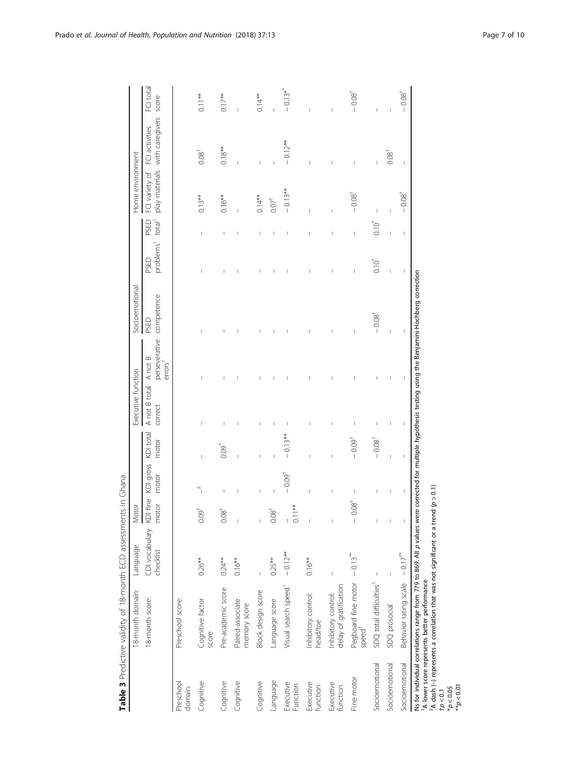|                       | 18-month domain:                                                                                                                                                                                                      | Language                                                                                                                                                                                                                                                                                                                                                                                                       | Motor                 |                                                                                                                                                                                                                                                                                                                                                                                                                |                          | Executive function                    |                                                | Socioemotional           |                               |                                                                                                                                                                                                                                                                                                                                                                                                                | Home environment    |                                                  |                                       |
|-----------------------|-----------------------------------------------------------------------------------------------------------------------------------------------------------------------------------------------------------------------|----------------------------------------------------------------------------------------------------------------------------------------------------------------------------------------------------------------------------------------------------------------------------------------------------------------------------------------------------------------------------------------------------------------|-----------------------|----------------------------------------------------------------------------------------------------------------------------------------------------------------------------------------------------------------------------------------------------------------------------------------------------------------------------------------------------------------------------------------------------------------|--------------------------|---------------------------------------|------------------------------------------------|--------------------------|-------------------------------|----------------------------------------------------------------------------------------------------------------------------------------------------------------------------------------------------------------------------------------------------------------------------------------------------------------------------------------------------------------------------------------------------------------|---------------------|--------------------------------------------------|---------------------------------------|
|                       | 18-month score:                                                                                                                                                                                                       | CDI vocabulary KDI fine<br>checklist                                                                                                                                                                                                                                                                                                                                                                           | motor                 | KDI gross<br>motor                                                                                                                                                                                                                                                                                                                                                                                             | KDI total<br>motor       | A not B total<br>correct              | perseverative<br>A not B<br>error <sup>1</sup> | competence<br>PSED       | problems <sup>1</sup><br>PSED | PSED<br>total <sup>1</sup>                                                                                                                                                                                                                                                                                                                                                                                     | FCI variety of      | play materials with caregivers<br>FCI activities | FCI total<br>score                    |
| Preschool<br>domain:  | Preschool score:                                                                                                                                                                                                      |                                                                                                                                                                                                                                                                                                                                                                                                                |                       |                                                                                                                                                                                                                                                                                                                                                                                                                |                          |                                       |                                                |                          |                               |                                                                                                                                                                                                                                                                                                                                                                                                                |                     |                                                  |                                       |
| Cognitive             | Cognitive factor<br>score                                                                                                                                                                                             | $0.26***$                                                                                                                                                                                                                                                                                                                                                                                                      | g                     | $\sim$                                                                                                                                                                                                                                                                                                                                                                                                         | Ī                        | I                                     |                                                |                          |                               |                                                                                                                                                                                                                                                                                                                                                                                                                | $0.13**$            | $0.08^{+}$                                       | $0.11**$                              |
| Cognitive             | Pre-academic score                                                                                                                                                                                                    | $0.24**$                                                                                                                                                                                                                                                                                                                                                                                                       | -80                   | I                                                                                                                                                                                                                                                                                                                                                                                                              | 0.09                     | J.                                    |                                                |                          |                               |                                                                                                                                                                                                                                                                                                                                                                                                                | $0.16**$            | $0.18**$                                         | $0.17**$                              |
| Cognitive             | Paired-associate<br>memory score                                                                                                                                                                                      | $0.16**$                                                                                                                                                                                                                                                                                                                                                                                                       |                       | I                                                                                                                                                                                                                                                                                                                                                                                                              | ľ                        |                                       |                                                |                          |                               |                                                                                                                                                                                                                                                                                                                                                                                                                | Ï                   | I                                                |                                       |
| Cognitive             | Block design score                                                                                                                                                                                                    |                                                                                                                                                                                                                                                                                                                                                                                                                |                       | I                                                                                                                                                                                                                                                                                                                                                                                                              |                          |                                       |                                                |                          |                               |                                                                                                                                                                                                                                                                                                                                                                                                                | $0.14**$            | Ï                                                | $0.14**$                              |
| Language              | Language score                                                                                                                                                                                                        | $0.25**$                                                                                                                                                                                                                                                                                                                                                                                                       | $\overline{\text{8}}$ | Ī                                                                                                                                                                                                                                                                                                                                                                                                              | I                        |                                       |                                                |                          |                               | I                                                                                                                                                                                                                                                                                                                                                                                                              | $0.07$ <sup>†</sup> | I                                                | $\begin{array}{c} \hline \end{array}$ |
| Executive<br>Function | Visual search speed <sup>1</sup>                                                                                                                                                                                      | $-0.12***$                                                                                                                                                                                                                                                                                                                                                                                                     | $0.11**$              | $-0.09$                                                                                                                                                                                                                                                                                                                                                                                                        | $-0.13**$                |                                       |                                                |                          |                               |                                                                                                                                                                                                                                                                                                                                                                                                                | $-0.13**$           | $-0.12**$                                        | $-0.13*$                              |
| Executive<br>function | Inhibitory control:<br>head/toe                                                                                                                                                                                       | $0.16***$                                                                                                                                                                                                                                                                                                                                                                                                      |                       | Ï                                                                                                                                                                                                                                                                                                                                                                                                              | Ï                        | Ï                                     |                                                |                          |                               |                                                                                                                                                                                                                                                                                                                                                                                                                |                     |                                                  |                                       |
| Executive<br>function | delay of gratification<br>Inhibitory control:                                                                                                                                                                         | $\begin{array}{c} \hline \end{array}$                                                                                                                                                                                                                                                                                                                                                                          |                       | I                                                                                                                                                                                                                                                                                                                                                                                                              | I                        | I                                     |                                                |                          |                               |                                                                                                                                                                                                                                                                                                                                                                                                                |                     |                                                  | I                                     |
| Fine motor            | Pegboard fine motor - 0.13**<br>speed <sup>1</sup>                                                                                                                                                                    |                                                                                                                                                                                                                                                                                                                                                                                                                | 0.08                  | I                                                                                                                                                                                                                                                                                                                                                                                                              | $-0.09$                  | Ï                                     |                                                | Ï                        | Ī                             | $\begin{array}{c} \rule{0pt}{2ex} \rule{0pt}{2ex} \rule{0pt}{2ex} \rule{0pt}{2ex} \rule{0pt}{2ex} \rule{0pt}{2ex} \rule{0pt}{2ex} \rule{0pt}{2ex} \rule{0pt}{2ex} \rule{0pt}{2ex} \rule{0pt}{2ex} \rule{0pt}{2ex} \rule{0pt}{2ex} \rule{0pt}{2ex} \rule{0pt}{2ex} \rule{0pt}{2ex} \rule{0pt}{2ex} \rule{0pt}{2ex} \rule{0pt}{2ex} \rule{0pt}{2ex} \rule{0pt}{2ex} \rule{0pt}{2ex} \rule{0pt}{2ex} \rule{0pt}{$ | $-0.08$             |                                                  | $-0.08$                               |
| Socioemotional        | SDQ total difficulties <sup>1</sup>                                                                                                                                                                                   | I                                                                                                                                                                                                                                                                                                                                                                                                              |                       | I                                                                                                                                                                                                                                                                                                                                                                                                              | $-0.08^{+}$              |                                       |                                                | $-0.08$ <sup>-1</sup>    | $0.10^{*}$                    | $0.10$ <sup>*</sup>                                                                                                                                                                                                                                                                                                                                                                                            | Ï                   | Ï                                                | Ï                                     |
| Socioemotional        | SDQ prosocial                                                                                                                                                                                                         | $\begin{array}{c} \rule{0pt}{2ex} \rule{0pt}{2ex} \rule{0pt}{2ex} \rule{0pt}{2ex} \rule{0pt}{2ex} \rule{0pt}{2ex} \rule{0pt}{2ex} \rule{0pt}{2ex} \rule{0pt}{2ex} \rule{0pt}{2ex} \rule{0pt}{2ex} \rule{0pt}{2ex} \rule{0pt}{2ex} \rule{0pt}{2ex} \rule{0pt}{2ex} \rule{0pt}{2ex} \rule{0pt}{2ex} \rule{0pt}{2ex} \rule{0pt}{2ex} \rule{0pt}{2ex} \rule{0pt}{2ex} \rule{0pt}{2ex} \rule{0pt}{2ex} \rule{0pt}{$ |                       | $\begin{array}{c} \rule{0pt}{2ex} \rule{0pt}{2ex} \rule{0pt}{2ex} \rule{0pt}{2ex} \rule{0pt}{2ex} \rule{0pt}{2ex} \rule{0pt}{2ex} \rule{0pt}{2ex} \rule{0pt}{2ex} \rule{0pt}{2ex} \rule{0pt}{2ex} \rule{0pt}{2ex} \rule{0pt}{2ex} \rule{0pt}{2ex} \rule{0pt}{2ex} \rule{0pt}{2ex} \rule{0pt}{2ex} \rule{0pt}{2ex} \rule{0pt}{2ex} \rule{0pt}{2ex} \rule{0pt}{2ex} \rule{0pt}{2ex} \rule{0pt}{2ex} \rule{0pt}{$ | I                        | I                                     | I                                              | Ï                        | $\overline{1}$                | $\overline{1}$                                                                                                                                                                                                                                                                                                                                                                                                 | $\overline{1}$      | $0.08^{+}$                                       | $\overline{1}$                        |
| Socioemotional        | Behavior rating scale $-0.17$ **                                                                                                                                                                                      |                                                                                                                                                                                                                                                                                                                                                                                                                |                       | $\overline{\phantom{a}}$                                                                                                                                                                                                                                                                                                                                                                                       | $\overline{\phantom{a}}$ | $\begin{array}{c} \hline \end{array}$ | $\begin{array}{c} \hline \end{array}$          | $\overline{\phantom{a}}$ |                               | $\overline{\phantom{a}}$                                                                                                                                                                                                                                                                                                                                                                                       | $-0.08^{\dagger}$   | $\overline{\phantom{a}}$                         | $-0.08^{+}$                           |
|                       | Ns for individual correlations range from 779 to 869. All p values were corrected for multiple hypothesis testing using the Benjamini-Hochberg correction<br><sup>1</sup> A lower score represents better performance |                                                                                                                                                                                                                                                                                                                                                                                                                |                       |                                                                                                                                                                                                                                                                                                                                                                                                                |                          |                                       |                                                |                          |                               |                                                                                                                                                                                                                                                                                                                                                                                                                |                     |                                                  |                                       |

Table 3 Predictive validity of 18-month ECD assessments in Ghana **Table 3** Predictive validity of 18-month ECD assessments in Ghana

<span id="page-6-0"></span>Prado et al. Journal of Health, Population and Nutrition (2018) 37:13 Page 7 of 10

 $2A$  dash (-) represents a correlation that was not significant or a trend ( $p > 0.1$ )

†p < 0.1 \*p < 0.05 \*\*p < 0.01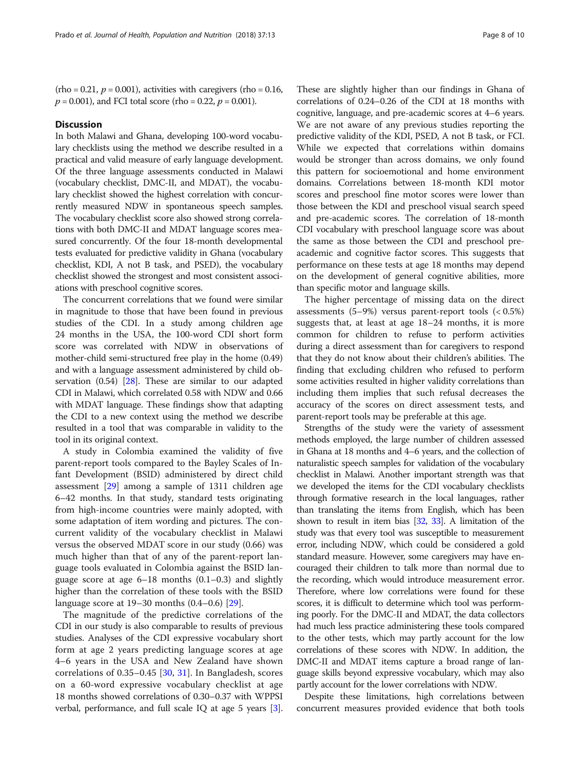$(rho = 0.21, p = 0.001)$ , activities with caregivers  $(rho = 0.16,$  $p = 0.001$ , and FCI total score (rho = 0.22,  $p = 0.001$ ).

## **Discussion**

In both Malawi and Ghana, developing 100-word vocabulary checklists using the method we describe resulted in a practical and valid measure of early language development. Of the three language assessments conducted in Malawi (vocabulary checklist, DMC-II, and MDAT), the vocabulary checklist showed the highest correlation with concurrently measured NDW in spontaneous speech samples. The vocabulary checklist score also showed strong correlations with both DMC-II and MDAT language scores measured concurrently. Of the four 18-month developmental tests evaluated for predictive validity in Ghana (vocabulary checklist, KDI, A not B task, and PSED), the vocabulary checklist showed the strongest and most consistent associations with preschool cognitive scores.

The concurrent correlations that we found were similar in magnitude to those that have been found in previous studies of the CDI. In a study among children age 24 months in the USA, the 100-word CDI short form score was correlated with NDW in observations of mother-child semi-structured free play in the home (0.49) and with a language assessment administered by child observation (0.54) [\[28\]](#page-9-0). These are similar to our adapted CDI in Malawi, which correlated 0.58 with NDW and 0.66 with MDAT language. These findings show that adapting the CDI to a new context using the method we describe resulted in a tool that was comparable in validity to the tool in its original context.

A study in Colombia examined the validity of five parent-report tools compared to the Bayley Scales of Infant Development (BSID) administered by direct child assessment [[29\]](#page-9-0) among a sample of 1311 children age 6–42 months. In that study, standard tests originating from high-income countries were mainly adopted, with some adaptation of item wording and pictures. The concurrent validity of the vocabulary checklist in Malawi versus the observed MDAT score in our study (0.66) was much higher than that of any of the parent-report language tools evaluated in Colombia against the BSID language score at age 6–18 months (0.1–0.3) and slightly higher than the correlation of these tools with the BSID language score at 19–30 months (0.4–0.6) [\[29\]](#page-9-0).

The magnitude of the predictive correlations of the CDI in our study is also comparable to results of previous studies. Analyses of the CDI expressive vocabulary short form at age 2 years predicting language scores at age 4–6 years in the USA and New Zealand have shown correlations of 0.35–0.45 [[30,](#page-9-0) [31](#page-9-0)]. In Bangladesh, scores on a 60-word expressive vocabulary checklist at age 18 months showed correlations of 0.30–0.37 with WPPSI verbal, performance, and full scale IQ at age 5 years [[3](#page-8-0)].

These are slightly higher than our findings in Ghana of correlations of 0.24–0.26 of the CDI at 18 months with cognitive, language, and pre-academic scores at 4–6 years. We are not aware of any previous studies reporting the predictive validity of the KDI, PSED, A not B task, or FCI. While we expected that correlations within domains would be stronger than across domains, we only found this pattern for socioemotional and home environment domains. Correlations between 18-month KDI motor scores and preschool fine motor scores were lower than those between the KDI and preschool visual search speed and pre-academic scores. The correlation of 18-month CDI vocabulary with preschool language score was about the same as those between the CDI and preschool preacademic and cognitive factor scores. This suggests that performance on these tests at age 18 months may depend on the development of general cognitive abilities, more than specific motor and language skills.

The higher percentage of missing data on the direct assessments (5–9%) versus parent-report tools (< 0.5%) suggests that, at least at age 18–24 months, it is more common for children to refuse to perform activities during a direct assessment than for caregivers to respond that they do not know about their children's abilities. The finding that excluding children who refused to perform some activities resulted in higher validity correlations than including them implies that such refusal decreases the accuracy of the scores on direct assessment tests, and parent-report tools may be preferable at this age.

Strengths of the study were the variety of assessment methods employed, the large number of children assessed in Ghana at 18 months and 4–6 years, and the collection of naturalistic speech samples for validation of the vocabulary checklist in Malawi. Another important strength was that we developed the items for the CDI vocabulary checklists through formative research in the local languages, rather than translating the items from English, which has been shown to result in item bias [[32](#page-9-0), [33\]](#page-9-0). A limitation of the study was that every tool was susceptible to measurement error, including NDW, which could be considered a gold standard measure. However, some caregivers may have encouraged their children to talk more than normal due to the recording, which would introduce measurement error. Therefore, where low correlations were found for these scores, it is difficult to determine which tool was performing poorly. For the DMC-II and MDAT, the data collectors had much less practice administering these tools compared to the other tests, which may partly account for the low correlations of these scores with NDW. In addition, the DMC-II and MDAT items capture a broad range of language skills beyond expressive vocabulary, which may also partly account for the lower correlations with NDW.

Despite these limitations, high correlations between concurrent measures provided evidence that both tools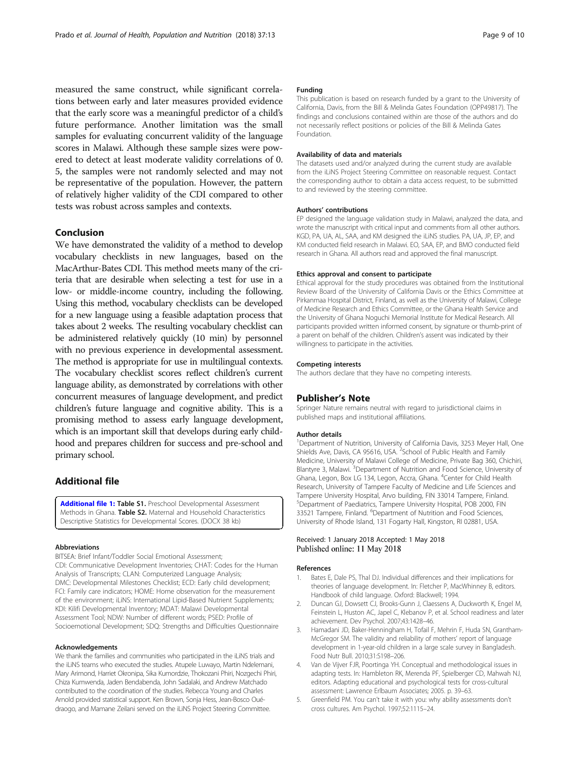<span id="page-8-0"></span>measured the same construct, while significant correlations between early and later measures provided evidence that the early score was a meaningful predictor of a child's future performance. Another limitation was the small samples for evaluating concurrent validity of the language scores in Malawi. Although these sample sizes were powered to detect at least moderate validity correlations of 0. 5, the samples were not randomly selected and may not be representative of the population. However, the pattern of relatively higher validity of the CDI compared to other tests was robust across samples and contexts.

# Conclusion

We have demonstrated the validity of a method to develop vocabulary checklists in new languages, based on the MacArthur-Bates CDI. This method meets many of the criteria that are desirable when selecting a test for use in a low- or middle-income country, including the following. Using this method, vocabulary checklists can be developed for a new language using a feasible adaptation process that takes about 2 weeks. The resulting vocabulary checklist can be administered relatively quickly (10 min) by personnel with no previous experience in developmental assessment. The method is appropriate for use in multilingual contexts. The vocabulary checklist scores reflect children's current language ability, as demonstrated by correlations with other concurrent measures of language development, and predict children's future language and cognitive ability. This is a promising method to assess early language development, which is an important skill that develops during early childhood and prepares children for success and pre-school and primary school.

# Additional file

[Additional file 1:](https://doi.org/10.1186/s41043-018-0145-1) Table S1. Preschool Developmental Assessment Methods in Ghana. Table S2. Maternal and Household Characteristics Descriptive Statistics for Developmental Scores. (DOCX 38 kb)

#### Abbreviations

BITSEA: Brief Infant/Toddler Social Emotional Assessment; CDI: Communicative Development Inventories; CHAT: Codes for the Human Analysis of Transcripts; CLAN: Computerized Language Analysis; DMC: Developmental Milestones Checklist; ECD: Early child development; FCI: Family care indicators; HOME: Home observation for the measurement of the environment; iLiNS: International Lipid-Based Nutrient Supplements; KDI: Kilifi Developmental Inventory; MDAT: Malawi Developmental Assessment Tool; NDW: Number of different words; PSED: Profile of Socioemotional Development; SDQ: Strengths and Difficulties Questionnaire

#### Acknowledgements

We thank the families and communities who participated in the iLiNS trials and the iLiNS teams who executed the studies. Atupele Luwayo, Martin Ndelemani, Mary Arimond, Harriet Okronipa, Sika Kumordzie, Thokozani Phiri, Nozgechi Phiri, Chiza Kumwenda, Jaden Bendabenda, John Sadalaki, and Andrew Matchado contributed to the coordination of the studies. Rebecca Young and Charles Arnold provided statistical support. Ken Brown, Sonja Hess, Jean-Bosco Ouédraogo, and Mamane Zeilani served on the iLiNS Project Steering Committee.

## Funding

This publication is based on research funded by a grant to the University of California, Davis, from the Bill & Melinda Gates Foundation (OPP49817). The findings and conclusions contained within are those of the authors and do not necessarily reflect positions or policies of the Bill & Melinda Gates Foundation.

#### Availability of data and materials

The datasets used and/or analyzed during the current study are available from the iLiNS Project Steering Committee on reasonable request. Contact the corresponding author to obtain a data access request, to be submitted to and reviewed by the steering committee.

#### Authors' contributions

EP designed the language validation study in Malawi, analyzed the data, and wrote the manuscript with critical input and comments from all other authors. KGD, PA, UA, AL, SAA, and KM designed the iLiNS studies. PA, UA, JP, EP, and KM conducted field research in Malawi. EO, SAA, EP, and BMO conducted field research in Ghana. All authors read and approved the final manuscript.

#### Ethics approval and consent to participate

Ethical approval for the study procedures was obtained from the Institutional Review Board of the University of California Davis or the Ethics Committee at Pirkanmaa Hospital District, Finland, as well as the University of Malawi, College of Medicine Research and Ethics Committee, or the Ghana Health Service and the University of Ghana Noguchi Memorial Institute for Medical Research. All participants provided written informed consent, by signature or thumb-print of a parent on behalf of the children. Children's assent was indicated by their willingness to participate in the activities.

## Competing interests

The authors declare that they have no competing interests.

#### Publisher's Note

Springer Nature remains neutral with regard to jurisdictional claims in published maps and institutional affiliations.

#### Author details

<sup>1</sup>Department of Nutrition, University of California Davis, 3253 Meyer Hall, One Shields Ave, Davis, CA 95616, USA. <sup>2</sup>School of Public Health and Family Medicine, University of Malawi College of Medicine, Private Bag 360, Chichiri, Blantyre 3, Malawi. <sup>3</sup>Department of Nutrition and Food Science, University of Ghana, Legon, Box LG 134, Legon, Accra, Ghana. <sup>4</sup>Center for Child Health Research, University of Tampere Faculty of Medicine and Life Sciences and Tampere University Hospital, Arvo building, FIN 33014 Tampere, Finland. 5 Department of Paediatrics, Tampere University Hospital, POB 2000, FIN 33521 Tampere, Finland. <sup>6</sup>Department of Nutrition and Food Sciences University of Rhode Island, 131 Fogarty Hall, Kingston, RI 02881, USA.

# Received: 1 January 2018 Accepted: 1 May 2018 Published online: 11 May 2018

# References

- 1. Bates E, Dale PS, Thal DJ. Individual differences and their implications for theories of language development. In: Fletcher P, MacWhinney B, editors. Handbook of child language. Oxford: Blackwell; 1994.
- 2. Duncan GJ, Dowsett CJ, Brooks-Gunn J, Claessens A, Duckworth K, Engel M, Feinstein L, Huston AC, Japel C, Klebanov P, et al. School readiness and later achievement. Dev Psychol. 2007;43:1428–46.
- Hamadani JD, Baker-Henningham H, Tofail F, Mehrin F, Huda SN, Grantham-McGregor SM. The validity and reliability of mothers' report of language development in 1-year-old children in a large scale survey in Bangladesh. Food Nutr Bull. 2010;31:S198–206.
- 4. Van de Vijver FJR, Poortinga YH. Conceptual and methodological issues in adapting tests. In: Hambleton RK, Merenda PF, Spielberger CD, Mahwah NJ, editors. Adapting educational and psychological tests for cross-cultural assessment: Lawrence Erlbaum Associates; 2005. p. 39–63.
- 5. Greenfield PM. You can't take it with you: why ability assessments don't cross cultures. Am Psychol. 1997;52:1115–24.